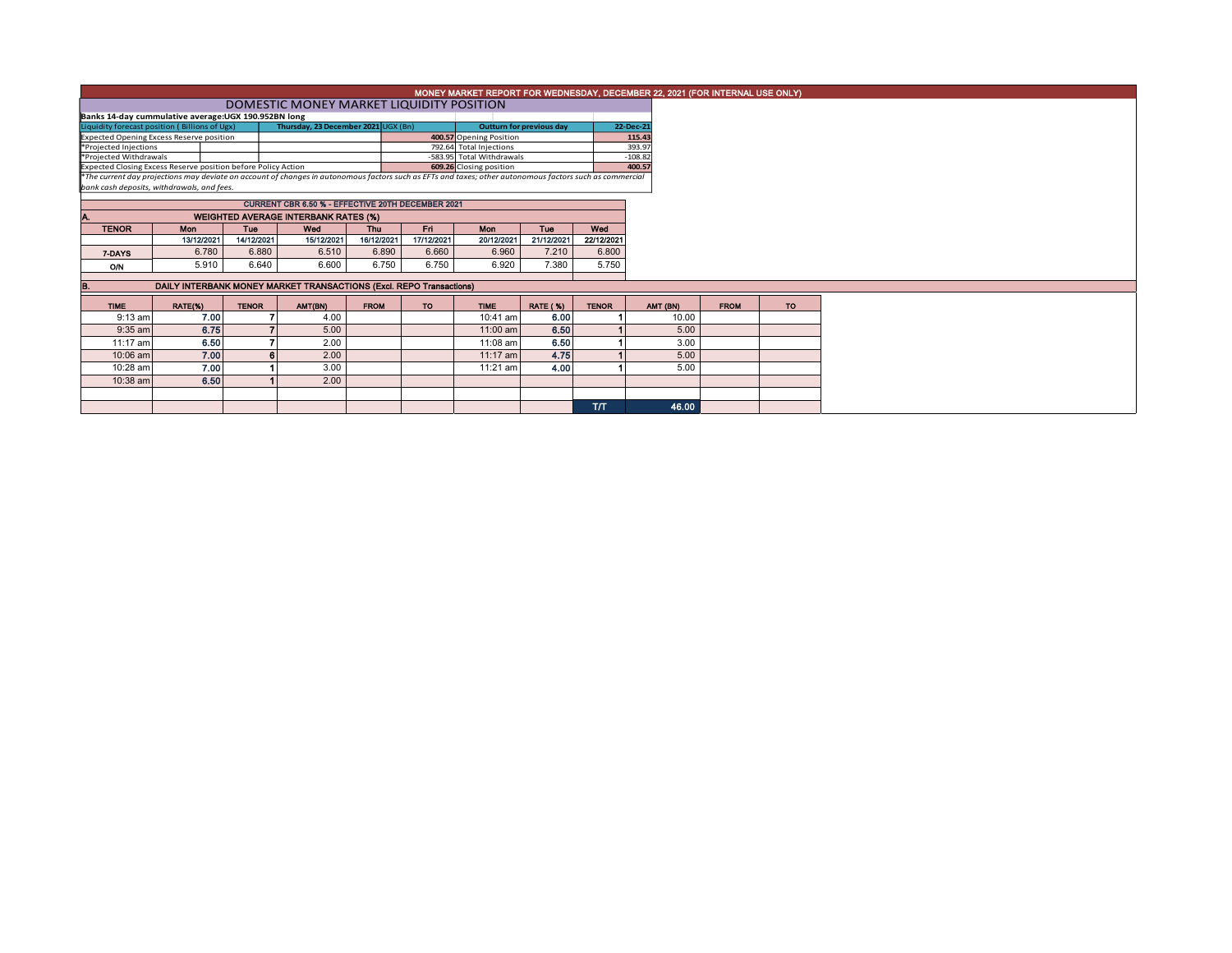|                                                               |            |                                             |                                                                                                                                                          |                         |            |                                 |                 |              | MONEY MARKET REPORT FOR WEDNESDAY, DECEMBER 22, 2021 (FOR INTERNAL USE ONLY) |             |           |
|---------------------------------------------------------------|------------|---------------------------------------------|----------------------------------------------------------------------------------------------------------------------------------------------------------|-------------------------|------------|---------------------------------|-----------------|--------------|------------------------------------------------------------------------------|-------------|-----------|
|                                                               |            |                                             | DOMESTIC MONEY MARKET LIQUIDITY POSITION                                                                                                                 |                         |            |                                 |                 |              |                                                                              |             |           |
| Banks 14-day cummulative average: UGX 190.952BN long          |            |                                             |                                                                                                                                                          |                         |            |                                 |                 |              |                                                                              |             |           |
| Liquidity forecast position (Billions of Ugx)                 |            |                                             | Thursday, 23 December 2021 UGX (Bn)                                                                                                                      |                         |            | <b>Outturn for previous day</b> |                 | 22-Dec-21    |                                                                              |             |           |
| <b>Expected Opening Excess Reserve position</b>               |            |                                             |                                                                                                                                                          |                         |            | 400.57 Opening Position         |                 |              | 115.43                                                                       |             |           |
| *Projected Injections                                         |            |                                             |                                                                                                                                                          |                         |            | 792.64 Total Injections         |                 |              | 393.97                                                                       |             |           |
| *Projected Withdrawals                                        |            |                                             |                                                                                                                                                          |                         |            | -583.95 Total Withdrawals       |                 |              | $-108.82$                                                                    |             |           |
| Expected Closing Excess Reserve position before Policy Action |            |                                             |                                                                                                                                                          | 609.26 Closing position |            |                                 | 400.57          |              |                                                                              |             |           |
|                                                               |            |                                             | *The current day projections may deviate on account of changes in autonomous factors such as EFTs and taxes; other autonomous factors such as commercial |                         |            |                                 |                 |              |                                                                              |             |           |
| bank cash deposits, withdrawals, and fees.                    |            |                                             |                                                                                                                                                          |                         |            |                                 |                 |              |                                                                              |             |           |
|                                                               |            |                                             | CURRENT CBR 6.50 % - EFFECTIVE 20TH DECEMBER 2021                                                                                                        |                         |            |                                 |                 |              |                                                                              |             |           |
|                                                               |            | <b>WEIGHTED AVERAGE INTERBANK RATES (%)</b> |                                                                                                                                                          |                         |            |                                 |                 |              |                                                                              |             |           |
| <b>TENOR</b>                                                  | Mon        | Tue                                         | Wed                                                                                                                                                      | Thu                     | Fri .      | Mon                             | <b>Tue</b>      | Wed          |                                                                              |             |           |
|                                                               | 13/12/2021 | 14/12/2021                                  | 15/12/2021                                                                                                                                               | 16/12/2021              | 17/12/2021 | 20/12/2021                      | 21/12/2021      | 22/12/2021   |                                                                              |             |           |
|                                                               | 6.780      | 6.880                                       | 6.510                                                                                                                                                    | 6.890                   | 6.660      | 6.960                           | 7.210           | 6.800        |                                                                              |             |           |
| 7-DAYS                                                        |            |                                             |                                                                                                                                                          |                         |            |                                 |                 |              |                                                                              |             |           |
| O/N                                                           | 5.910      | 6.640                                       | 6.600                                                                                                                                                    | 6.750                   | 6.750      | 6.920                           | 7.380           | 5.750        |                                                                              |             |           |
| B.                                                            |            |                                             |                                                                                                                                                          |                         |            |                                 |                 |              |                                                                              |             |           |
|                                                               |            |                                             | DAILY INTERBANK MONEY MARKET TRANSACTIONS (Excl. REPO Transactions)                                                                                      |                         |            |                                 |                 |              |                                                                              |             |           |
| <b>TIME</b>                                                   | RATE(%)    | <b>TENOR</b>                                | AMT(BN)                                                                                                                                                  | <b>FROM</b>             | <b>TO</b>  | <b>TIME</b>                     | <b>RATE (%)</b> | <b>TENOR</b> | AMT (BN)                                                                     | <b>FROM</b> | <b>TO</b> |
| $9:13$ am                                                     | 7.00       |                                             | 4.00                                                                                                                                                     |                         |            | $10:41$ am                      | 6.00            |              | 10.00                                                                        |             |           |
| $9:35$ am                                                     | 6.75       |                                             | 5.00                                                                                                                                                     |                         |            | 11:00 am                        | 6.50            |              | 5.00                                                                         |             |           |
| 11:17 am                                                      | 6.50       |                                             | 2.00                                                                                                                                                     |                         |            | 11:08 am                        | 6.50            |              | 3.00                                                                         |             |           |
| 10:06 am                                                      | 7.00       |                                             | 2.00                                                                                                                                                     |                         |            | $11:17$ am                      | 4.75            |              | 5.00                                                                         |             |           |
| 10:28 am                                                      | 7.00       |                                             | 3.00                                                                                                                                                     |                         |            | $11:21$ am                      | 4.00            |              | 5.00                                                                         |             |           |
| 10:38 am                                                      | 6.50       |                                             | 2.00                                                                                                                                                     |                         |            |                                 |                 |              |                                                                              |             |           |
|                                                               |            |                                             |                                                                                                                                                          |                         |            |                                 |                 |              |                                                                              |             |           |
|                                                               |            |                                             |                                                                                                                                                          |                         |            |                                 |                 | <b>T/T</b>   | 46.00                                                                        |             |           |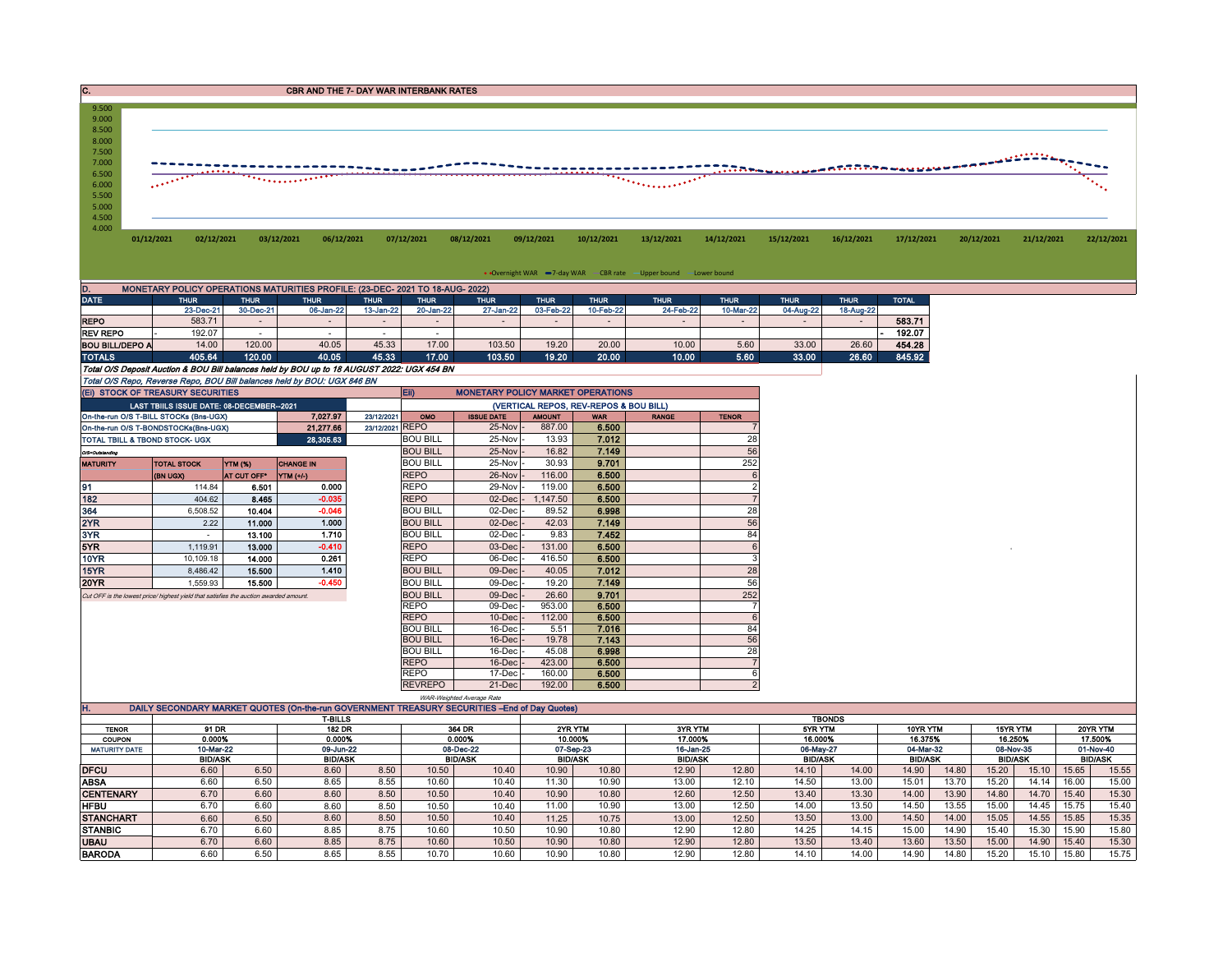C. C. CBR AND THE 7- DAY WAR INTERBANK RATES

| 9.500<br>9.000<br>8.500<br>8.000                   |            |            |            |            |            |            |            |            |                   |            |                                                                                                                                                                                                                                                                                                                                                                                                                       |            |            |            |            |            |
|----------------------------------------------------|------------|------------|------------|------------|------------|------------|------------|------------|-------------------|------------|-----------------------------------------------------------------------------------------------------------------------------------------------------------------------------------------------------------------------------------------------------------------------------------------------------------------------------------------------------------------------------------------------------------------------|------------|------------|------------|------------|------------|
| 7.500<br>7.000<br>6.500<br>6.000<br>5.500<br>5.000 |            |            |            |            |            |            |            | . <u>.</u> | <b>Supplement</b> |            | $\frac{1}{\sqrt{1+\frac{1}{2+\frac{1}{2+\frac{1}{2+\frac{1}{2+\frac{1}{2+\frac{1}{2+\frac{1}{2+\frac{1}{2+\frac{1}{2+\frac{1}{2+\frac{1}{2+\frac{1}{2+\frac{1}{2+\frac{1}{2+\frac{1}{2+\frac{1}{2+\frac{1}{2+\frac{1}{2+\frac{1}{2+\frac{1}{2+\frac{1}{2+\frac{1}{2+\frac{1}{2+\frac{1}{2+\frac{1}{2+\frac{1}{2+\frac{1}{2+\frac{1}{2+\frac{1}{2+\frac{1}{2+\frac{1}{2+\frac{1}{2+\frac{1}{2+\frac{1}{2+\frac{1}{2+\$ |            |            |            |            |            |
| 4.500<br>4.000                                     | 01/12/2021 | 02/12/2021 | 03/12/2021 | 06/12/2021 | 07/12/2021 | 08/12/2021 | 09/12/2021 | 10/12/2021 | 13/12/2021        | 14/12/2021 | 15/12/2021                                                                                                                                                                                                                                                                                                                                                                                                            | 16/12/2021 | 17/12/2021 | 20/12/2021 | 21/12/2021 | 22/12/2021 |

• Overnight WAR -7-day WAR CBR rate -Upper bound -Lower bound

| MONETARY POLICY OPERATIONS MATURITIES PROFILE: (23-DEC- 2021 TO 18-AUG- 2022)<br>D.        |             |             |             |             |             |                                          |             |             |             |             |             |             |              |
|--------------------------------------------------------------------------------------------|-------------|-------------|-------------|-------------|-------------|------------------------------------------|-------------|-------------|-------------|-------------|-------------|-------------|--------------|
| <b>DATE</b>                                                                                | <b>THUR</b> | <b>THUR</b> | <b>THUR</b> | <b>THUR</b> | <b>THUR</b> | <b>THUR</b>                              | <b>THUR</b> | <b>THUR</b> | <b>THUR</b> | <b>THUR</b> | <b>THUR</b> | <b>THUR</b> | <b>TOTAL</b> |
|                                                                                            | 23-Dec-21   | 30-Dec-21   | 06-Jan-22   | 13-Jan-22   | 20-Jan-22   | 27-Jan-22                                | 03-Feb-22   | 10-Feb-22   | 24-Feb-22   | 10-Mar-22   | 04-Aug-22   | 18-Aug-22   |              |
| <b>REPO</b>                                                                                | 583.71      |             |             |             |             |                                          |             |             |             |             |             |             | 583.71       |
| <b>REV REPO</b>                                                                            | 192.07      |             |             |             |             |                                          |             |             |             |             |             |             | 192.07       |
| <b>BOU BILL/DEPO A</b>                                                                     | 14.00       | 120.00      | 40.05       | 45.33       | 17.00       | 103.50                                   | 19.20       | 20.00       | 10.00       | 5.60        | 33.00       | 26.60       | 454.28       |
| <b>TOTALS</b>                                                                              | 405.64      | 120.00      | 40.05       | 45.33       | 17.00       | 103.50                                   | 19.20       | 20.00       | 10.00       | 5.60        | 33.00       | 26.60       | 845.92       |
| Total O/S Deposit Auction & BOU Bill balances held by BOU up to 18 AUGUST 2022: UGX 454 BN |             |             |             |             |             |                                          |             |             |             |             |             |             |              |
| Total O/S Repo, Reverse Repo, BOU Bill balances held by BOU: UGX 846 BN                    |             |             |             |             |             |                                          |             |             |             |             |             |             |              |
| (EI) STOCK OF TREASURY SECURITIES                                                          |             |             |             |             | <b>Eif</b>  | <b>MONETARY POLICY MARKET OPERATIONS</b> |             |             |             |             |             |             |              |

|                                                                                                 | (EI) STOCK OF TREASURY SECURITIES         |                |                  |                 | Eii)<br><b>MONETARY POLICY MARKET OPERATIONS</b> |                     |               |            |              |                          |  |
|-------------------------------------------------------------------------------------------------|-------------------------------------------|----------------|------------------|-----------------|--------------------------------------------------|---------------------|---------------|------------|--------------|--------------------------|--|
|                                                                                                 | LAST TBIILS ISSUE DATE: 08-DECEMBER--2021 |                |                  |                 | (VERTICAL REPOS, REV-REPOS & BOU BILL)           |                     |               |            |              |                          |  |
| 7.027.97<br>23/12/2021<br>On-the-run O/S T-BILL STOCKs (Bns-UGX)                                |                                           |                |                  |                 | OMO                                              | <b>ISSUE DATE</b>   | <b>AMOUNT</b> | <b>WAR</b> | <b>RANGE</b> | <b>TENOR</b>             |  |
|                                                                                                 | On-the-run O/S T-BONDSTOCKs(Bns-UGX)      |                | 21.277.66        | 23/12/2021 REPO |                                                  | 25-Nov              | 887.00        | 6.500      |              |                          |  |
| 28,305.63<br>TOTAL TBILL & TBOND STOCK- UGX                                                     |                                           |                |                  | <b>BOU BILL</b> | 25-Nov -                                         | 13.93               | 7.012         |            | 28           |                          |  |
| O/S=Outstanding                                                                                 |                                           |                |                  |                 | <b>BOU BILL</b>                                  | 25-Nov -            | 16.82         | 7.149      |              | 56                       |  |
| <b>MATURITY</b>                                                                                 | <b>TOTAL STOCK</b>                        | <b>YTM (%)</b> | <b>CHANGE IN</b> |                 | <b>BOU BILL</b>                                  | 25-Nov -            | 30.93         | 9.701      |              | 252                      |  |
|                                                                                                 | (BN UGX)                                  | AT CUT OFF*    | <b>YTM</b> (+/-) |                 | <b>REPO</b>                                      | 26-Nov -            | 116.00        | 6.500      |              |                          |  |
| 91                                                                                              | 114.84                                    | 6.501          | 0.000            |                 | <b>REPO</b>                                      | 29-Nov -            | 119.00        | 6.500      |              | $\overline{\phantom{a}}$ |  |
| 182                                                                                             |                                           | 8.465          | $-0.035$         |                 | <b>REPO</b>                                      | $02$ -Dec $ -$      | 1,147.50      | 6.500      |              |                          |  |
| 364                                                                                             | 6,508.52                                  | 10.404         | $-0.046$         |                 | <b>BOU BILL</b>                                  | $02$ -Dec $-$       | 89.52         | 6.998      |              | 28                       |  |
| 2YR                                                                                             | 2.22                                      | 11.000         | 1.000            |                 | <b>BOU BILL</b>                                  | $02$ -Dec $\vert$ - | 42.03         | 7.149      |              | 56                       |  |
| 3YR                                                                                             | $\sim$                                    | 13.100         | 1.710            |                 | <b>BOU BILL</b>                                  | 02-Dec -            | 9.83          | 7.452      |              | 84                       |  |
| 5YR                                                                                             | 1.119.91                                  | 13.000         | $-0.410$         |                 | <b>REPO</b>                                      | $03$ -Dec $-$       | 131.00        | 6.500      |              | 6                        |  |
| 10YR                                                                                            | 10.109.18                                 | 14.000         | 0.261            |                 | <b>REPO</b>                                      | 06-Dec -            | 416.50        | 6.500      |              | 3                        |  |
| 15YR                                                                                            | 8.486.42                                  | 15.500         | 1.410            |                 | <b>BOU BILL</b>                                  | 09-Dec -            | 40.05         | 7.012      |              | 28                       |  |
| 20YR                                                                                            | 1.559.93                                  | 15.500         | $-0.450$         |                 | <b>BOU BILL</b>                                  | $09$ -Dec $-$       | 19.20         | 7.149      |              | 56                       |  |
| 404.62<br>Cut OFF is the lowest price/ highest yield that satisfies the auction awarded amount. |                                           |                |                  |                 | <b>BOU BILL</b>                                  | 09-Dec -            | 26.60         | 9.701      |              | 252                      |  |
|                                                                                                 |                                           |                |                  |                 | <b>REPO</b>                                      | 09-Dec -            | 953.00        | 6.500      |              |                          |  |
|                                                                                                 |                                           |                |                  |                 | <b>REPO</b>                                      | $10$ -Dec $-$       | 112.00        | 6.500      |              | 6                        |  |
|                                                                                                 |                                           |                |                  |                 | <b>BOU BILL</b>                                  | 16-Dec -            | 5.51          | 7.016      |              | 84                       |  |
|                                                                                                 |                                           |                |                  |                 | <b>BOU BILL</b>                                  | $16$ -Dec $\vert$ - | 19.78         | 7.143      |              | 56                       |  |
|                                                                                                 |                                           |                |                  |                 | <b>BOU BILL</b>                                  | 16-Dec -            | 45.08         | 6.998      |              | 28                       |  |
|                                                                                                 |                                           |                |                  |                 | <b>REPO</b>                                      | $16$ -Dec $\vert$ - | 423.00        | 6.500      |              | $\overline{7}$           |  |
|                                                                                                 |                                           |                |                  |                 | <b>REPO</b>                                      | 17-Dec -            | 160.00        | 6.500      |              |                          |  |
|                                                                                                 |                                           |                |                  |                 | <b>REVREPO</b>                                   | 21-Dec              | 192.00        | 6.500      |              |                          |  |

|                      |                                                                                               |      |                |        | WAR-Weighted Average Rate |         |                |                |                |           |                |           |                |                 |                |           |                |           |  |
|----------------------|-----------------------------------------------------------------------------------------------|------|----------------|--------|---------------------------|---------|----------------|----------------|----------------|-----------|----------------|-----------|----------------|-----------------|----------------|-----------|----------------|-----------|--|
| п.                   | DAILY SECONDARY MARKET QUOTES (On-the-run GOVERNMENT TREASURY SECURITIES --End of Day Quotes) |      |                |        |                           |         |                |                |                |           |                |           |                |                 |                |           |                |           |  |
|                      |                                                                                               |      | <b>T-BILLS</b> |        |                           |         | <b>TBONDS</b>  |                |                |           |                |           |                |                 |                |           |                |           |  |
| <b>TENOR</b>         | 91 DR<br><b>182 DR</b>                                                                        |      |                | 364 DR |                           | 2YR YTM |                | <b>3YR YTM</b> |                | 5YR YTM   |                | 10YR YTM  |                | <b>15YR YTM</b> |                | 20YR YTM  |                |           |  |
| <b>COUPON</b>        | 0.000%                                                                                        |      | 0.000%         |        | 0.000%                    |         | 10.000%        |                | 17.000%        |           | 16.000%        |           | 16.375%        |                 | 16.250%        |           | 17.500%        |           |  |
| <b>MATURITY DATE</b> | 10-Mar-22                                                                                     |      | 09-Jun-22      |        | 08-Dec-22                 |         |                | 07-Sep-23      |                | 16-Jan-25 |                | 06-May-27 |                | 04-Mar-32       |                | 08-Nov-35 |                | 01-Nov-40 |  |
|                      | <b>BID/ASK</b>                                                                                |      | <b>BID/ASK</b> |        | <b>BID/ASK</b>            |         | <b>BID/ASK</b> |                | <b>BID/ASK</b> |           | <b>BID/ASK</b> |           | <b>BID/ASK</b> |                 | <b>BID/ASK</b> |           | <b>BID/ASK</b> |           |  |
| <b>DFCU</b>          | 6.60                                                                                          | 6.50 | 8.60           | 8.50   | 10.50                     | 10.40   | 10.90          | 10.80          | 12.90          | 12.80     | 14.10          | 14.00     | 14.90          | 14.80           | 15.20          | 15.10     | 15.65          | 15.55     |  |
| ABSA                 | 6.60                                                                                          | 6.50 | 8.65           | 8.55   | 10.60                     | 10.40   | 11.30          | 10.90          | 13.00          | 12.10     | 14.50          | 13.00     | 15.01          | 13.70           | 15.20          | 14.14     | 16.00          | 15.00     |  |
| <b>CENTENARY</b>     | 6.70                                                                                          | 6.60 | 8.60           | 8.50   | 10.50                     | 10.40   | 10.90          | 10.80          | 12.60          | 12.50     | 13.40          | 13.30     | 14.00          | 13.90           | 14.80          | 14.70     | 15.40          | 15.30     |  |
| HFBU                 | 6.70                                                                                          | 6.60 | 8.60           | 8.50   | 10.50                     | 10.40   | 11.00          | 10.90          | 13.00          | 12.50     | 14.00          | 13.50     | 14.50          | 13.55           | 15.00          | 14.45     | 15.75          | 15.40     |  |
| <b>STANCHART</b>     | 6.60                                                                                          | 6.50 | 8.60           | 8.50   | 10.50                     | 10.40   | 11.25          | 10.75          | 13.00          | 12.50     | 13.50          | 13.00     | 14.50          | 14.00           | 15.05          | 14.55     | 15.85          | 15.35     |  |
| <b>STANBIC</b>       | 6.70                                                                                          | 6.60 | 8.85           | 8.75   | 10.60                     | 10.50   | 10.90          | 10.80          | 12.90          | 12.80     | 14.25          | 14.15     | 15.00          | 14.90           | 15.40          | 5.30      | 15.90          | 15.80     |  |
| <b>UBAU</b>          | 6.70                                                                                          | 6.60 | 8.85           | 8.75   | 10.60                     | 10.50   | 10.90          | 10.80          | 12.90          | 12.80     | 13.50          | 13.40     | 13.60          | 13.50           | 15.00          | 14.90     | 15.40          | 15.30     |  |
| <b>BARODA</b>        | 6.60                                                                                          | 6.50 | 8.65           | 9.55   | 10.70                     | 10.60   | 10.90          | 10.80          | 12.90          | 12.80     | 14.10          | 14.00     | 14.90          | 14.80           | 5.20           | 5.10      | 15.80          | 15.75     |  |